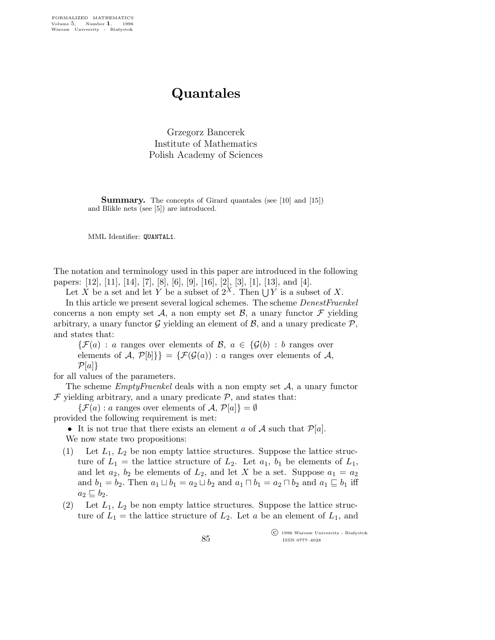## Quantales

Grzegorz Bancerek Institute of Mathematics Polish Academy of Sciences

Summary. The concepts of Girard quantales (see [10] and [15]) and Blikle nets (see [5]) are introduced.

MML Identifier: QUANTAL1.

The notation and terminology used in this paper are introduced in the following papers: [12], [11], [14], [7], [8], [6], [9], [16], [2], [3], [1], [13], and [4].

Let X be a set and let Y be a subset of  $2^X$ . Then  $\bigcup Y$  is a subset of X.

In this article we present several logical schemes. The scheme DenestFraenkel concerns a non empty set A, a non empty set B, a unary functor  $\mathcal F$  yielding arbitrary, a unary functor G yielding an element of  $\beta$ , and a unary predicate  $\mathcal{P}$ , and states that:

 $\{\mathcal{F}(a) : a$  ranges over elements of  $\mathcal{B}, a \in \{\mathcal{G}(b) : b$  ranges over elements of A,  $\mathcal{P}[b]\} = {\mathcal{F}(\mathcal{G}(a)) : a \text{ ranges over elements of } A,$  $\mathcal{P}[a]$ 

for all values of the parameters.

The scheme  $EmptyFramekel$  deals with a non empty set  $A$ , a unary functor  $\mathcal F$  yielding arbitrary, and a unary predicate  $\mathcal P$ , and states that:

 $\{\mathcal{F}(a): a$  ranges over elements of  $\mathcal{A}, \mathcal{P}[a]\} = \emptyset$ 

provided the following requirement is met:

• It is not true that there exists an element a of A such that  $\mathcal{P}[a]$ .

We now state two propositions:

- (1) Let  $L_1$ ,  $L_2$  be non empty lattice structures. Suppose the lattice structure of  $L_1$  = the lattice structure of  $L_2$ . Let  $a_1$ ,  $b_1$  be elements of  $L_1$ , and let  $a_2$ ,  $b_2$  be elements of  $L_2$ , and let X be a set. Suppose  $a_1 = a_2$ and  $b_1 = b_2$ . Then  $a_1 \sqcup b_1 = a_2 \sqcup b_2$  and  $a_1 \sqcap b_1 = a_2 \sqcap b_2$  and  $a_1 \sqsubseteq b_1$  iff  $a_2 \sqsubseteq b_2$ .
- (2) Let  $L_1$ ,  $L_2$  be non empty lattice structures. Suppose the lattice structure of  $L_1$  = the lattice structure of  $L_2$ . Let a be an element of  $L_1$ , and

 c 1996 Warsaw University - Bia lystok ISSN 0777–4028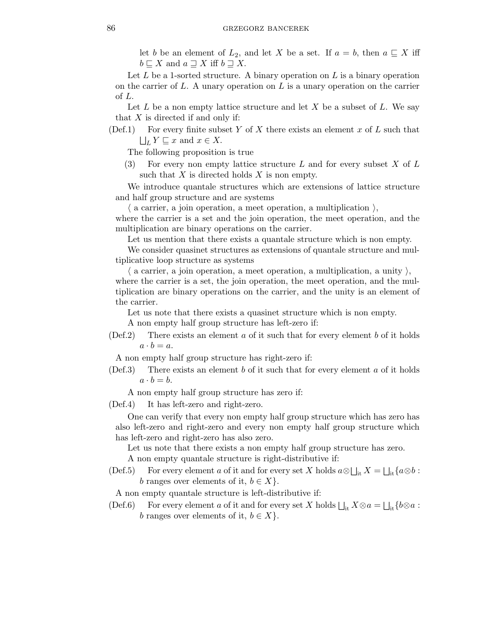let b be an element of  $L_2$ , and let X be a set. If  $a = b$ , then  $a \subseteq X$  iff  $b \sqsubseteq X$  and  $a \sqsupseteq X$  iff  $b \sqsupseteq X$ .

Let  $L$  be a 1-sorted structure. A binary operation on  $L$  is a binary operation on the carrier of  $L$ . A unary operation on  $L$  is a unary operation on the carrier of L.

Let  $L$  be a non empty lattice structure and let  $X$  be a subset of  $L$ . We say that  $X$  is directed if and only if:

(Def.1) For every finite subset Y of X there exists an element x of L such that  $\bigsqcup_L Y \sqsubseteq x$  and  $x \in X$ .

The following proposition is true

(3) For every non empty lattice structure L and for every subset X of  $L$ such that  $X$  is directed holds  $X$  is non empty.

We introduce quantale structures which are extensions of lattice structure and half group structure and are systems

 $\langle$  a carrier, a join operation, a meet operation, a multiplication  $\rangle$ ,

where the carrier is a set and the join operation, the meet operation, and the multiplication are binary operations on the carrier.

Let us mention that there exists a quantale structure which is non empty.

We consider quasinet structures as extensions of quantale structure and multiplicative loop structure as systems

 $\langle$  a carrier, a join operation, a meet operation, a multiplication, a unity  $\rangle$ , where the carrier is a set, the join operation, the meet operation, and the multiplication are binary operations on the carrier, and the unity is an element of the carrier.

Let us note that there exists a quasinet structure which is non empty.

A non empty half group structure has left-zero if:

 $(Def.2)$  There exists an element a of it such that for every element b of it holds  $a \cdot b = a$ .

A non empty half group structure has right-zero if:

 $(Def.3)$  There exists an element b of it such that for every element a of it holds  $a \cdot b = b$ .

A non empty half group structure has zero if:

(Def.4) It has left-zero and right-zero.

One can verify that every non empty half group structure which has zero has also left-zero and right-zero and every non empty half group structure which has left-zero and right-zero has also zero.

Let us note that there exists a non empty half group structure has zero.

A non empty quantale structure is right-distributive if:

(Def.5) For every element a of it and for every set X holds  $a \otimes \bigsqcup_{i \in X} X = \bigsqcup_{i \in \{a \otimes b : c \in A\}}$ b ranges over elements of it,  $b \in X$ .

A non empty quantale structure is left-distributive if:

(Def.6) For every element a of it and for every set X holds  $\bigsqcup_{i \in X} \otimes a = \bigsqcup_{i \in \{b \otimes a : b \in A\}}$ b ranges over elements of it,  $b \in X$ .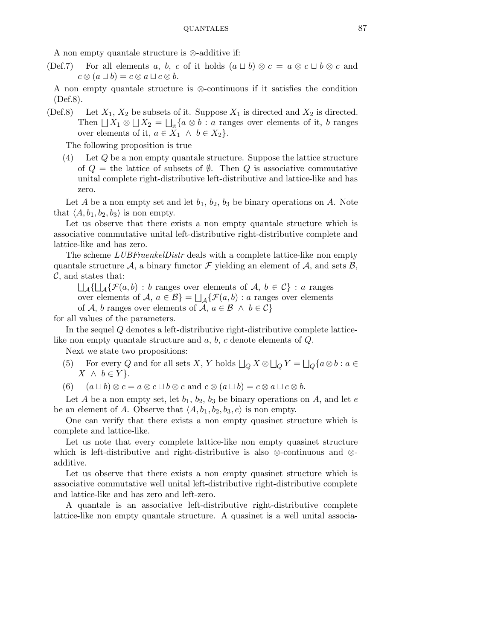A non empty quantale structure is ⊗-additive if:

(Def.7) For all elements a, b, c of it holds  $(a \sqcup b) \otimes c = a \otimes c \sqcup b \otimes c$  and  $c \otimes (a \sqcup b) = c \otimes a \sqcup c \otimes b.$ 

A non empty quantale structure is ⊗-continuous if it satisfies the condition (Def.8).

(Def.8) Let  $X_1, X_2$  be subsets of it. Suppose  $X_1$  is directed and  $X_2$  is directed. Then  $\Box X_1 \otimes \Box X_2 = \Box_{it} \{a \otimes b : a \text{ ranges over elements of it, } b \text{ ranges} \}$ over elements of it,  $a \in X_1 \land b \in X_2$ .

The following proposition is true

(4) Let Q be a non empty quantale structure. Suppose the lattice structure of  $Q =$  the lattice of subsets of  $\emptyset$ . Then  $Q$  is associative commutative unital complete right-distributive left-distributive and lattice-like and has zero.

Let A be a non empty set and let  $b_1$ ,  $b_2$ ,  $b_3$  be binary operations on A. Note that  $\langle A,b_1,b_2,b_3 \rangle$  is non empty.

Let us observe that there exists a non empty quantale structure which is associative commutative unital left-distributive right-distributive complete and lattice-like and has zero.

The scheme LUBFraenkelDistr deals with a complete lattice-like non empty quantale structure A, a binary functor  $\mathcal F$  yielding an element of A, and sets B,  $\mathcal{C}$ , and states that:

 $\bigcup_{\mathcal{A}}\{\bigcup_{\mathcal{A}}\{\mathcal{F}(a,b)\,:\,b\text{ ranges over elements of }\mathcal{A},\ b\in\mathcal{C}\}\,:\,a\text{ ranges}$ over elements of  $A, a \in \mathcal{B}$  =  $\bigsqcup_{\mathcal{A}} {\{\mathcal{F}(a,b) : a \text{ ranges over elements}}$ of A, b ranges over elements of A,  $a \in \mathcal{B} \land b \in \mathcal{C}$ 

for all values of the parameters.

In the sequel Q denotes a left-distributive right-distributive complete latticelike non empty quantale structure and a, b, c denote elements of Q.

Next we state two propositions:

- (5) For every Q and for all sets X, Y holds  $\Box_Q X \otimes \Box_Q Y = \Box_Q \{a \otimes b : a \in$  $X \wedge b \in Y$ .
- (6)  $(a \sqcup b) \otimes c = a \otimes c \sqcup b \otimes c$  and  $c \otimes (a \sqcup b) = c \otimes a \sqcup c \otimes b$ .

Let A be a non empty set, let  $b_1$ ,  $b_2$ ,  $b_3$  be binary operations on A, and let e be an element of A. Observe that  $\langle A,b_1,b_2,b_3,e \rangle$  is non empty.

One can verify that there exists a non empty quasinet structure which is complete and lattice-like.

Let us note that every complete lattice-like non empty quasinet structure which is left-distributive and right-distributive is also ⊗-continuous and ⊗ additive.

Let us observe that there exists a non empty quasinet structure which is associative commutative well unital left-distributive right-distributive complete and lattice-like and has zero and left-zero.

A quantale is an associative left-distributive right-distributive complete lattice-like non empty quantale structure. A quasinet is a well unital associa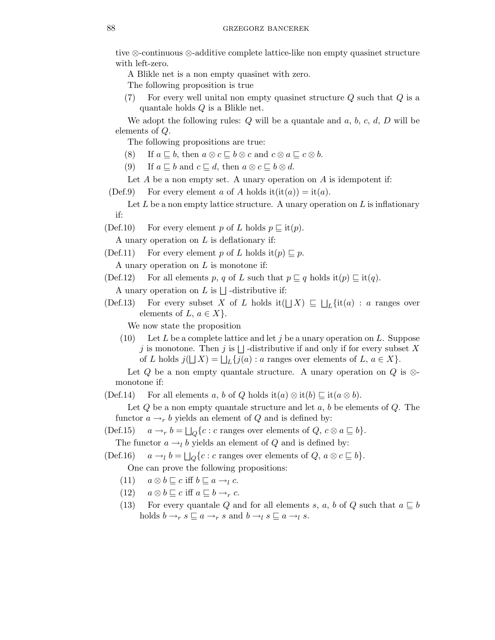tive ⊗-continuous ⊗-additive complete lattice-like non empty quasinet structure with left-zero.

A Blikle net is a non empty quasinet with zero.

The following proposition is true

(7) For every well unital non empty quasinet structure  $Q$  such that  $Q$  is a quantale holds Q is a Blikle net.

We adopt the following rules:  $Q$  will be a quantale and  $a, b, c, d, D$  will be elements of Q.

The following propositions are true:

- (8) If  $a \sqsubseteq b$ , then  $a \otimes c \sqsubseteq b \otimes c$  and  $c \otimes a \sqsubseteq c \otimes b$ .
- (9) If  $a \sqsubseteq b$  and  $c \sqsubseteq d$ , then  $a \otimes c \sqsubseteq b \otimes d$ .

Let  $A$  be a non empty set. A unary operation on  $A$  is idempotent if:

(Def.9) For every element a of A holds  $it(it(a)) = it(a)$ .

Let  $L$  be a non empty lattice structure. A unary operation on  $L$  is inflationary if:

(Def.10) For every element p of L holds  $p \sqsubseteq \mathrm{it}(p)$ .

A unary operation on  $L$  is deflationary if:

(Def.11) For every element p of L holds it(p)  $\sqsubseteq$  p.

A unary operation on  $L$  is monotone if: (Def.12) For all elements p, q of L such that  $p \sqsubseteq q$  holds it $(p) \sqsubseteq$  it $(q)$ .

A unary operation on L is  $\Box$  -distributive if:

(Def.13) For every subset X of L holds it( $\bigcup X$ )  $\subseteq \bigcup_L \{\text{it}(a) : a \text{ ranges over}\}$ elements of  $L, a \in X$ .

We now state the proposition

(10) Let L be a complete lattice and let j be a unary operation on L. Suppose j is monotone. Then j is  $\Box$  -distributive if and only if for every subset X of L holds  $j(\bigsqcup X) = \bigsqcup_L \{j(a) : a \text{ ranges over elements of } L, a \in X\}.$ 

Let Q be a non empty quantale structure. A unary operation on Q is  $\otimes$ monotone if:

(Def.14) For all elements a, b of Q holds it(a)  $\otimes$  it(b)  $\sqsubseteq$  it(a  $\otimes$  b).

Let  $Q$  be a non empty quantale structure and let  $a, b$  be elements of  $Q$ . The functor  $a \rightarrow r b$  yields an element of Q and is defined by:

(Def.15)  $a \rightarrow_r b = \bigsqcup_Q \{c : c \text{ ranges over elements of } Q, c \otimes a \sqsubseteq b\}.$ 

The functor  $a \rightarrow_l b$  yields an element of Q and is defined by:

(Def.16)  $a \rightarrow_l b = \bigsqcup_Q \{c : c \text{ ranges over elements of } Q, a \otimes c \sqsubseteq b\}.$ 

One can prove the following propositions:

- (11)  $a \otimes b \sqsubseteq c$  iff  $b \sqsubseteq a \rightarrow_{l} c$ .
- (12)  $a \otimes b \sqsubseteq c$  iff  $a \sqsubseteq b \rightarrow_r c$ .
- (13) For every quantale Q and for all elements s, a, b of Q such that  $a \subseteq b$ holds  $b \rightarrow_r s \sqsubseteq a \rightarrow_r s$  and  $b \rightarrow_l s \sqsubseteq a \rightarrow_l s$ .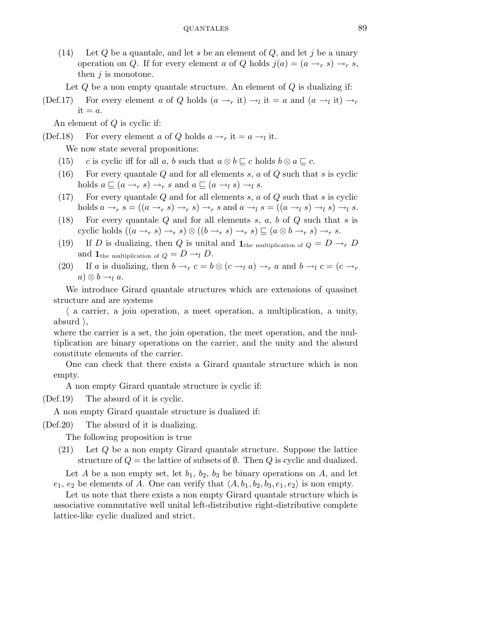(14) Let  $Q$  be a quantale, and let s be an element of  $Q$ , and let j be a unary operation on Q. If for every element a of Q holds  $j(a) = (a \rightarrow r s) \rightarrow r s$ , then  $j$  is monotone.

Let  $Q$  be a non empty quantale structure. An element of  $Q$  is dualizing if:

(Def.17) For every element a of Q holds  $(a \rightarrow_r \text{it}) \rightarrow_l \text{it} = a$  and  $(a \rightarrow_l \text{it}) \rightarrow_r$  $it = a$ .

An element of Q is cyclic if:

- (Def.18) For every element a of Q holds  $a \rightarrow_r \text{it} = a \rightarrow_l \text{it}$ . We now state several propositions:
	- (15) c is cyclic iff for all a, b such that  $a \otimes b \sqsubseteq c$  holds  $b \otimes a \sqsubseteq c$ .
	- (16) For every quantale Q and for all elements s,  $a$  of Q such that s is cyclic holds  $a \sqsubseteq (a \rightarrow_r s) \rightarrow_r s$  and  $a \sqsubseteq (a \rightarrow_l s) \rightarrow_l s$ .
	- (17) For every quantale  $Q$  and for all elements  $s, a$  of  $Q$  such that  $s$  is cyclic holds  $a \rightarrow_r s = ((a \rightarrow_r s) \rightarrow_r s) \rightarrow_r s$  and  $a \rightarrow_l s = ((a \rightarrow_l s) \rightarrow_l s) \rightarrow_l s$ .
	- (18) For every quantale  $Q$  and for all elements  $s, a, b$  of  $Q$  such that  $s$  is cyclic holds  $((a \rightarrow_r s) \rightarrow_r s) \otimes ((b \rightarrow_r s) \rightarrow_r s) \sqsubseteq (a \otimes b \rightarrow_r s) \rightarrow_r s$ .
	- (19) If D is dualizing, then Q is unital and  $\mathbf{1}_{\text{the multiplication of }Q} = D \rightarrow_r D$ and  $\mathbf{1}_{\text{the multiplication of } Q} = D \rightarrow_l D$ .
	- (20) If a is dualizing, then  $b \rightarrow_r c = b \otimes (c \rightarrow_l a) \rightarrow_r a$  and  $b \rightarrow_l c = (c \rightarrow_r a \otimes (c \rightarrow_l a) \otimes (c \rightarrow_l a \otimes (c \rightarrow_l a \otimes (c \rightarrow_l a \otimes (c \rightarrow_l a \otimes (c \rightarrow_l a \otimes (c \rightarrow_l a \otimes (c \rightarrow_l a \otimes (c \rightarrow_l a \otimes (c \rightarrow_l a \otimes (c \rightarrow_l a \otimes (c \rightarrow_l a \otimes (c \rightarrow_l a \otimes (c \rightarrow_l a \otimes (c \rightarrow_l a \otimes (c \rightarrow_l a \otimes (c \$  $a) \otimes b \rightarrow_l a$ .

We introduce Girard quantale structures which are extensions of quasinet structure and are systems

 $\langle$  a carrier, a join operation, a meet operation, a multiplication, a unity, absurd  $\lambda$ ,

where the carrier is a set, the join operation, the meet operation, and the multiplication are binary operations on the carrier, and the unity and the absurd constitute elements of the carrier.

One can check that there exists a Girard quantale structure which is non empty.

A non empty Girard quantale structure is cyclic if:

(Def.19) The absurd of it is cyclic.

A non empty Girard quantale structure is dualized if:

(Def.20) The absurd of it is dualizing.

The following proposition is true

(21) Let Q be a non empty Girard quantale structure. Suppose the lattice structure of  $Q =$  the lattice of subsets of  $\emptyset$ . Then Q is cyclic and dualized.

Let A be a non empty set, let  $b_1$ ,  $b_2$ ,  $b_3$  be binary operations on A, and let  $e_1, e_2$  be elements of A. One can verify that  $\langle A, b_1, b_2, b_3, e_1, e_2 \rangle$  is non empty.

Let us note that there exists a non empty Girard quantale structure which is associative commutative well unital left-distributive right-distributive complete lattice-like cyclic dualized and strict.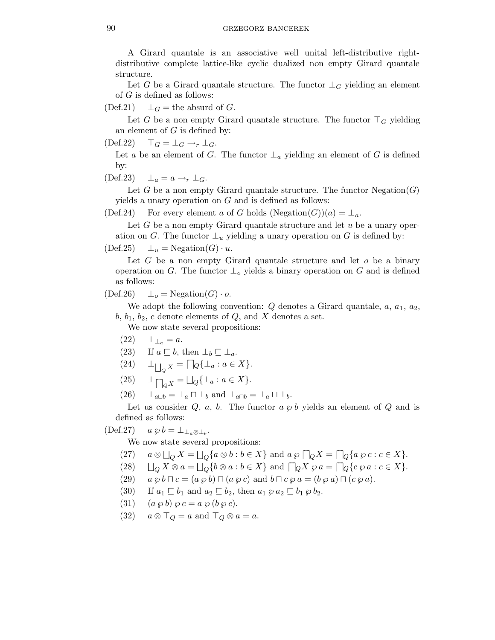A Girard quantale is an associative well unital left-distributive rightdistributive complete lattice-like cyclic dualized non empty Girard quantale structure.

Let G be a Girard quantale structure. The functor  $\perp_G$  yielding an element of  $G$  is defined as follows:

(Def.21)  $\perp_G$  = the absurd of G.

Let G be a non empty Girard quantale structure. The functor  $\top_G$  yielding an element of  $G$  is defined by:

 $(\text{Def.22}) \quad \top_G = \bot_G \rightarrow_r \bot_G.$ 

Let a be an element of G. The functor  $\perp_a$  yielding an element of G is defined by:

 $(\text{Def.23}) \quad \perp_a = a \rightarrow_r \perp_G.$ 

Let G be a non empty Girard quantale structure. The functor  $Negation(G)$ yields a unary operation on  $G$  and is defined as follows:

(Def.24) For every element a of G holds  $(Negation(G))(a) = \perp_a$ .

Let  $G$  be a non empty Girard quantale structure and let  $u$  be a unary operation on G. The functor  $\perp_u$  yielding a unary operation on G is defined by:

$$
(Def.25) \qquad \bot_u = \text{Negation}(G) \cdot u.
$$

Let  $G$  be a non empty Girard quantale structure and let  $o$  be a binary operation on G. The functor  $\perp_o$  yields a binary operation on G and is defined as follows:

$$
(Def.26) \qquad \bot_o = \text{Negation}(G) \cdot o.
$$

We adopt the following convention:  $Q$  denotes a Girard quantale,  $a, a_1, a_2$ ,  $b, b_1, b_2, c$  denote elements of  $Q$ , and X denotes a set.

We now state several propositions:

 $(22) \quad \perp_{\perp_a} = a.$ 

(23) If 
$$
a \sqsubseteq b
$$
, then  $\perp_b \sqsubseteq \perp_a$ .

- (24)  $\perp_{\bigsqcup_{Q} X} = \bigcap_{Q} {\{\perp_{a} : a \in X\}}.$
- (25)  $\perp_{\bigcap Q} X = \bigsqcup_Q {\perp_a : a \in X}.$
- $(26)$   $\perp_{a\sqcup b} = \perp_a \sqcap \perp_b$  and  $\perp_{a\sqcap b} = \perp_a \sqcup \perp_b$ .

Let us consider Q, a, b. The functor  $a \varphi b$  yields an element of Q and is defined as follows:

## (Def.27)  $a \wp b = \perp_{\perp_a \otimes \perp_b}$ .

We now state several propositions:

- $(27)$  $\Box_Q X = \Box_Q \{a \otimes b : b \in X\}$  and  $a \varphi \sqcap_Q X = \sqcap_Q \{a \varphi c : c \in X\}.$
- $(28)$  $Q X \otimes a = \bigsqcup_{Q} \{b \otimes a : b \in X\}$  and  $\bigcap_{Q} X \otimes a = \bigcap_{Q} \{c \otimes a : c \in X\}.$
- (29)  $a \wp b \sqcap c = (a \wp b) \sqcap (a \wp c)$  and  $b \sqcap c \wp a = (b \wp a) \sqcap (c \wp a)$ .
- (30) If  $a_1 \sqsubseteq b_1$  and  $a_2 \sqsubseteq b_2$ , then  $a_1 \otimes a_2 \sqsubseteq b_1 \otimes b_2$ .
- (31)  $(a \wp b) \wp c = a \wp (b \wp c).$
- (32)  $a \otimes \top_Q = a$  and  $\top_Q \otimes a = a$ .